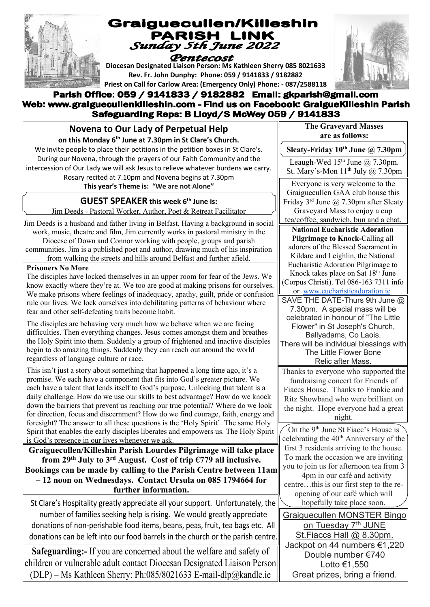

# Graiguecullen/Killeshin PARISH LINK<br>Sunday 5th June 2022

# Pentecost

**Diocesan Designated Liaison Person: Ms Kathleen Sherry 085 8021633 Rev. Fr. John Dunphy: Phone: 059 / 9141833 / 9182882 Priest on Call for Carlow Area: (Emergency Only) Phone: - 087/2588118**

#### Parish Office: 059 / 9141833 / 9182882 Email: gkparish@gmail.com Web: www.graiguecullenkilleshin.com - Find us on Facebook: GraigueKilleshin Parish Safeguarding Reps: B Lloyd/S McWey 059 / 9141833

# **Novena to Our Lady of Perpetual Help**

**on this Monday 6 th June at 7.30pm in St Clare's Church.** 

We invite people to place their petitions in the petition boxes in St Clare's. During our Novena, through the prayers of our Faith Community and the intercession of Our Lady we will ask Jesus to relieve whatever burdens we carry. Rosary recited at 7.10pm and Novena begins at 7.30pm

**This year's Theme is: "We are not Alone"**

# **GUEST SPEAKER this week 6 th June is:**

Jim Deeds - Pastoral Worker, Author, Poet & Retreat Facilitator

Jim Deeds is a husband and father living in Belfast. Having a background in social work, music, theatre and film, Jim currently works in pastoral ministry in the Diocese of Down and Connor working with people, groups and parish communities. Jim is a published poet and author, drawing much of his inspiration from walking the streets and hills around Belfast and further afield.

#### **Prisoners No More**

The disciples have locked themselves in an upper room for fear of the Jews. We know exactly where they're at. We too are good at making prisons for ourselves. We make prisons where feelings of inadequacy, apathy, guilt, pride or confusion rule our lives. We lock ourselves into debilitating patterns of behaviour where fear and other self-defeating traits become habit.

The disciples are behaving very much how we behave when we are facing difficulties. Then everything changes. Jesus comes amongst them and breathes the Holy Spirit into them. Suddenly a group of frightened and inactive disciples begin to do amazing things. Suddenly they can reach out around the world regardless of language culture or race.

This isn't just a story about something that happened a long time ago, it's a promise. We each have a component that fits into God's greater picture. We each have a talent that lends itself to God's purpose. Unlocking that talent is a daily challenge. How do we use our skills to best advantage? How do we knock down the barriers that prevent us reaching our true potential? Where do we look for direction, focus and discernment? How do we find courage, faith, energy and foresight? The answer to all these questions is the 'Holy Spirit'. The same Holy Spirit that enables the early disciples liberates and empowers us. The Holy Spirit is God's presence in our lives whenever we ask.

**Graiguecullen/Killeshin Parish Lourdes Pilgrimage will take place from 29th July to 3rd August. Cost of trip €779 all inclusive. Bookings can be made by calling to the Parish Centre between 11am – 12 noon on Wednesdays. Contact Ursula on 085 1794664 for further information.**

St Clare's Hospitality greatly appreciate all your support. Unfortunately, the number of families seeking help is rising. We would greatly appreciate donations of non-perishable food items, beans, peas, fruit, tea bags etc. All donations can be left into our food barrels in the church or the parish centre.

**Safeguarding:-** If you are concerned about the welfare and safety of children or vulnerable adult contact Diocesan Designated Liaison Person (DLP) – Ms Kathleen Sherry: Ph:085/8021633 E-mail-dlp@kandle.ie

**The Graveyard Masses are as follows:**

**Sleaty-Friday 10 th June @ 7.30pm**

Leaugh-Wed  $15<sup>th</sup>$  June @ 7.30pm. St. Mary's-Mon 11<sup>th</sup> July @ 7.30pm

Everyone is very welcome to the Graiguecullen GAA club house this Friday  $3^{rd}$  June @ 7.30pm after Sleaty Graveyard Mass to enjoy a cup

tea/coffee, sandwich, bun and a chat.

**National Eucharistic Adoration Pilgrimage to Knock-**Calling all adorers of the Blessed Sacrament in Kildare and Leighlin, the National Eucharistic Adoration Pilgrimage to Knock takes place on Sat 18th June (Corpus Christi). Tel 086-163 7311 info or www.eucharisticadoration.ie

SAVE THE DATE-Thurs 9th June @ 7.30pm. A special mass will be celebrated in honour of "The Little Flower" in St Joseph's Church, Ballyadams, Co Laois. There will be individual blessings with The Little Flower Bone

#### Relic after Mass.

Thanks to everyone who supported the fundraising concert for Friends of Fiaccs House. Thanks to Frankie and Ritz Showband who were brilliant on the night. Hope everyone had a great night.

On the 9<sup>th</sup> June St Fiacc's House is celebrating the 40<sup>th</sup> Anniversary of the first 3 residents arriving to the house. To mark the occasion we are inviting you to join us for afternoon tea from 3 – 4pm in our café and activity centre…this is our first step to the reopening of our café which will hopefully take place soon.

Graiguecullen MONSTER Bingo on Tuesday 7<sup>th</sup> JUNE St. Fiaccs Hall @ 8.30pm. Jackpot on 44 numbers €1,220 Double number €740 Lotto €1,550 Great prizes, bring a friend.